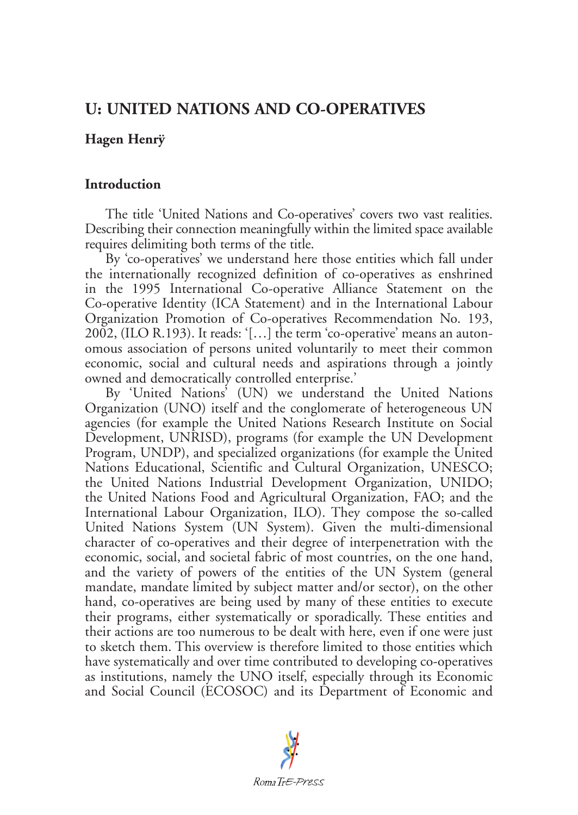# **U: UNITED NATIONS AND CO-OPERATIVES**

# **Hagen Henrÿ**

## **Introduction**

The title 'United Nations and Co-operatives' covers two vast realities. Describing their connection meaningfully within the limited space available requires delimiting both terms of the title.

By 'co-operatives' we understand here those entities which fall under the internationally recognized definition of co-operatives as enshrined in the 1995 International Co-operative Alliance Statement on the Co-operative Identity (ICA Statement) and in the International Labour Organization Promotion of Co-operatives Recommendation No. 193, 2002, (ILO R.193). It reads: '[…] the term 'co-operative' means an autonomous association of persons united voluntarily to meet their common economic, social and cultural needs and aspirations through a jointly owned and democratically controlled enterprise.'

By 'United Nations' (UN) we understand the United Nations Organization (UNO) itself and the conglomerate of heterogeneous UN agencies (for example the United Nations Research Institute on Social Development, UNRISD), programs (for example the UN Development Program, UNDP), and specialized organizations (for example the United Nations Educational, Scientific and Cultural Organization, UNESCO; the United Nations Industrial Development Organization, UNIDO; the United Nations Food and Agricultural Organization, FAO; and the International Labour Organization, ILO). They compose the so-called United Nations System (UN System). Given the multi-dimensional character of co-operatives and their degree of interpenetration with the economic, social, and societal fabric of most countries, on the one hand, and the variety of powers of the entities of the UN System (general mandate, mandate limited by subject matter and/or sector), on the other hand, co-operatives are being used by many of these entities to execute their programs, either systematically or sporadically. These entities and their actions are too numerous to be dealt with here, even if one were just to sketch them. This overview is therefore limited to those entities which have systematically and over time contributed to developing co-operatives as institutions, namely the UNO itself, especially through its Economic and Social Council (ECOSOC) and its Department of Economic and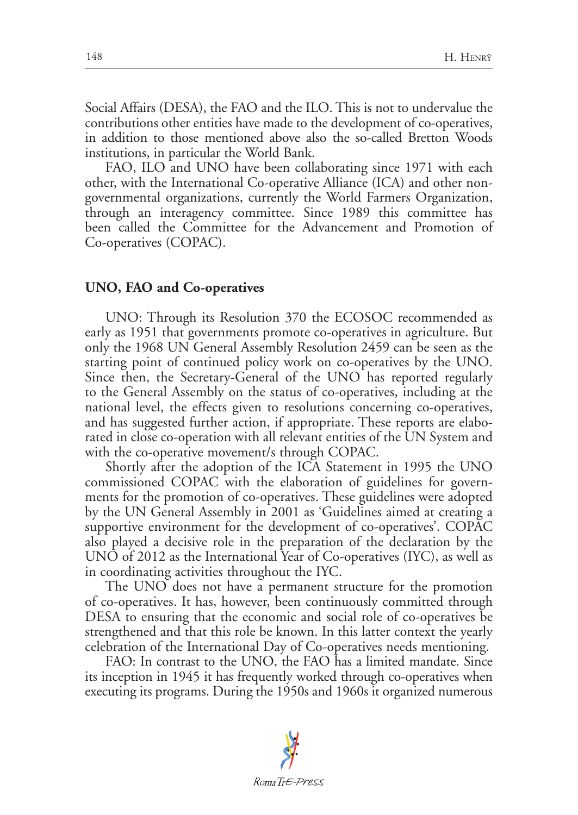Social Affairs (DESA), the FAO and the ILO. This is not to undervalue the contributions other entities have made to the development of co-operatives, in addition to those mentioned above also the so-called Bretton Woods institutions, in particular the World Bank.

FAO, ILO and UNO have been collaborating since 1971 with each other, with the International Co-operative Alliance (ICA) and other nongovernmental organizations, currently the World Farmers Organization, through an interagency committee. Since 1989 this committee has been called the Committee for the Advancement and Promotion of Co-operatives (COPAC).

#### **UNO, FAO and Co-operatives**

UNO: Through its Resolution 370 the ECOSOC recommended as early as 1951 that governments promote co-operatives in agriculture. But only the 1968 UN General Assembly Resolution 2459 can be seen as the starting point of continued policy work on co-operatives by the UNO. Since then, the Secretary-General of the UNO has reported regularly to the General Assembly on the status of co-operatives, including at the national level, the effects given to resolutions concerning co-operatives, and has suggested further action, if appropriate. These reports are elaborated in close co-operation with all relevant entities of the UN System and with the co-operative movement/s through COPAC.

Shortly after the adoption of the ICA Statement in 1995 the UNO commissioned COPAC with the elaboration of guidelines for governments for the promotion of co-operatives. These guidelines were adopted by the UN General Assembly in 2001 as 'Guidelines aimed at creating a supportive environment for the development of co-operatives'. COPAC also played a decisive role in the preparation of the declaration by the UNO of 2012 as the International Year of Co-operatives (IYC), as well as in coordinating activities throughout the IYC.

The UNO does not have a permanent structure for the promotion of co-operatives. It has, however, been continuously committed through DESA to ensuring that the economic and social role of co-operatives be strengthened and that this role be known. In this latter context the yearly celebration of the International Day of Co-operatives needs mentioning.

FAO: In contrast to the UNO, the FAO has a limited mandate. Since its inception in 1945 it has frequently worked through co-operatives when executing its programs. During the 1950s and 1960s it organized numerous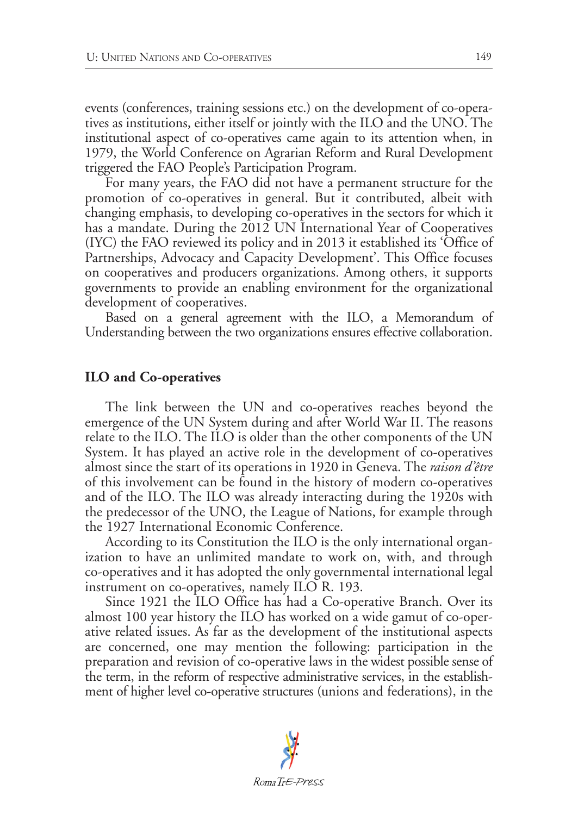events (conferences, training sessions etc.) on the development of co-operatives as institutions, either itself or jointly with the ILO and the UNO. The institutional aspect of co-operatives came again to its attention when, in 1979, the World Conference on Agrarian Reform and Rural Development triggered the FAO People's Participation Program.

For many years, the FAO did not have a permanent structure for the promotion of co-operatives in general. But it contributed, albeit with changing emphasis, to developing co-operatives in the sectors for which it has a mandate. During the 2012 UN International Year of Cooperatives (IYC) the FAO reviewed its policy and in 2013 it established its 'Office of Partnerships, Advocacy and Capacity Development'. This Office focuses on cooperatives and producers organizations. Among others, it supports governments to provide an enabling environment for the organizational development of cooperatives.

Based on a general agreement with the ILO, a Memorandum of Understanding between the two organizations ensures effective collaboration.

#### **ILO and Co-operatives**

The link between the UN and co-operatives reaches beyond the emergence of the UN System during and after World War II. The reasons relate to the ILO. The ILO is older than the other components of the UN System. It has played an active role in the development of co-operatives almost since the start of its operations in 1920 in Geneva. The *raison d'être* of this involvement can be found in the history of modern co-operatives and of the ILO. The ILO was already interacting during the 1920s with the predecessor of the UNO, the League of Nations, for example through the 1927 International Economic Conference.

According to its Constitution the ILO is the only international organization to have an unlimited mandate to work on, with, and through co-operatives and it has adopted the only governmental international legal instrument on co-operatives, namely ILO R. 193.

Since 1921 the ILO Office has had a Co-operative Branch. Over its almost 100 year history the ILO has worked on a wide gamut of co-operative related issues. As far as the development of the institutional aspects are concerned, one may mention the following: participation in the preparation and revision of co-operative laws in the widest possible sense of the term, in the reform of respective administrative services, in the establishment of higher level co-operative structures (unions and federations), in the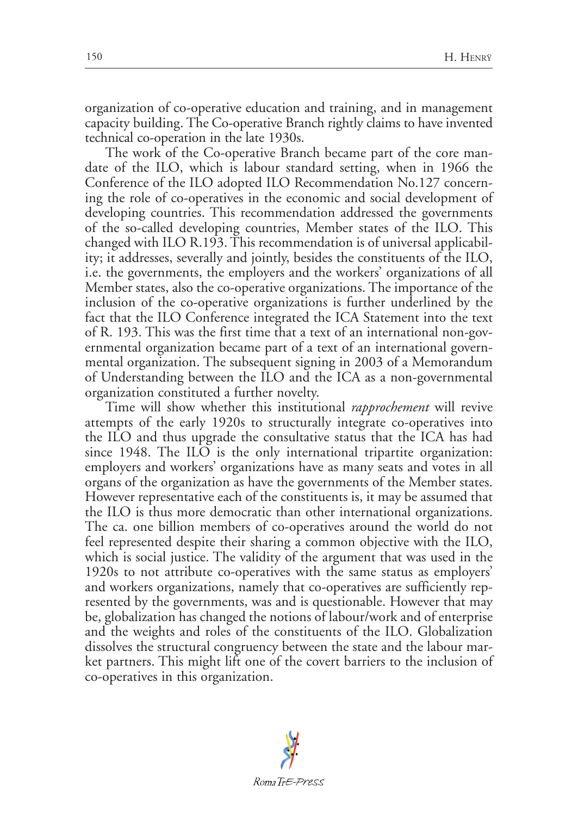organization of co-operative education and training, and in management capacity building. The Co-operative Branch rightly claims to have invented technical co-operation in the late 1930s.

The work of the Co-operative Branch became part of the core mandate of the ILO, which is labour standard setting, when in 1966 the Conference of the ILO adopted ILO Recommendation No.127 concerning the role of co-operatives in the economic and social development of developing countries. This recommendation addressed the governments of the so-called developing countries, Member states of the ILO. This changed with ILO R.193. This recommendation is of universal applicability; it addresses, severally and jointly, besides the constituents of the ILO, i.e. the governments, the employers and the workers' organizations of all Member states, also the co-operative organizations. The importance of the inclusion of the co-operative organizations is further underlined by the fact that the ILO Conference integrated the ICA Statement into the text of R. 193. This was the first time that a text of an international non-governmental organization became part of a text of an international governmental organization. The subsequent signing in 2003 of a Memorandum of Understanding between the ILO and the ICA as a non-governmental organization constituted a further novelty.

Time will show whether this institutional *rapprochement* will revive attempts of the early 1920s to structurally integrate co-operatives into the ILO and thus upgrade the consultative status that the ICA has had since 1948. The ILO is the only international tripartite organization: employers and workers' organizations have as many seats and votes in all organs of the organization as have the governments of the Member states. However representative each of the constituents is, it may be assumed that the ILO is thus more democratic than other international organizations. The ca. one billion members of co-operatives around the world do not feel represented despite their sharing a common objective with the ILO, which is social justice. The validity of the argument that was used in the 1920s to not attribute co-operatives with the same status as employers' and workers organizations, namely that co-operatives are sufficiently represented by the governments, was and is questionable. However that may be, globalization has changed the notions of labour/work and of enterprise and the weights and roles of the constituents of the ILO. Globalization dissolves the structural congruency between the state and the labour market partners. This might lift one of the covert barriers to the inclusion of co-operatives in this organization.